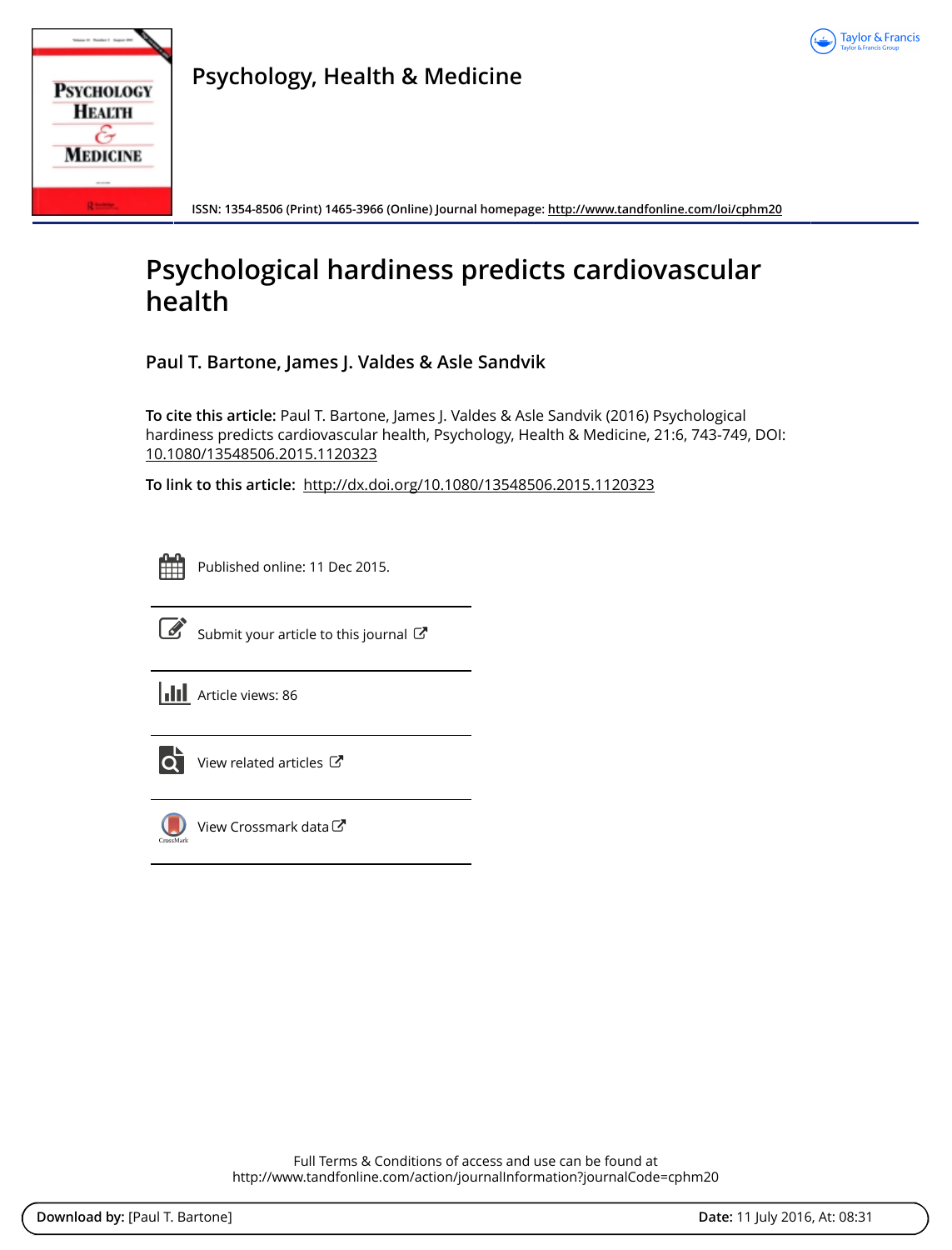

| <b>PSYCHOLOGY</b> |
|-------------------|
| <b>HEALTH</b>     |
| <b>MEDICINE</b>   |
|                   |
|                   |

**Psychology, Health & Medicine**

**ISSN: 1354-8506 (Print) 1465-3966 (Online) Journal homepage:<http://www.tandfonline.com/loi/cphm20>**

# **Psychological hardiness predicts cardiovascular health**

**Paul T. Bartone, James J. Valdes & Asle Sandvik**

**To cite this article:** Paul T. Bartone, James J. Valdes & Asle Sandvik (2016) Psychological hardiness predicts cardiovascular health, Psychology, Health & Medicine, 21:6, 743-749, DOI: [10.1080/13548506.2015.1120323](http://www.tandfonline.com/action/showCitFormats?doi=10.1080/13548506.2015.1120323)

**To link to this article:** <http://dx.doi.org/10.1080/13548506.2015.1120323>

| - | and the state of the state of the state of the state of the state of the state of the state of the state of th | _ | -<br><b>Service Service</b> |
|---|----------------------------------------------------------------------------------------------------------------|---|-----------------------------|
|   |                                                                                                                |   |                             |
|   |                                                                                                                |   |                             |
|   |                                                                                                                |   |                             |

Published online: 11 Dec 2015.



 $\overline{\mathscr{L}}$  [Submit your article to this journal](http://www.tandfonline.com/action/authorSubmission?journalCode=cphm20&page=instructions)  $\mathbb{Z}$ 

**III** Article views: 86



 $\overrightarrow{Q}$  [View related articles](http://www.tandfonline.com/doi/mlt/10.1080/13548506.2015.1120323)  $\overrightarrow{C}$ 



 $\bigcirc$  [View Crossmark data](http://crossmark.crossref.org/dialog/?doi=10.1080/13548506.2015.1120323&domain=pdf&date_stamp=2015-12-11) $\mathbb{Z}$ 

Full Terms & Conditions of access and use can be found at <http://www.tandfonline.com/action/journalInformation?journalCode=cphm20>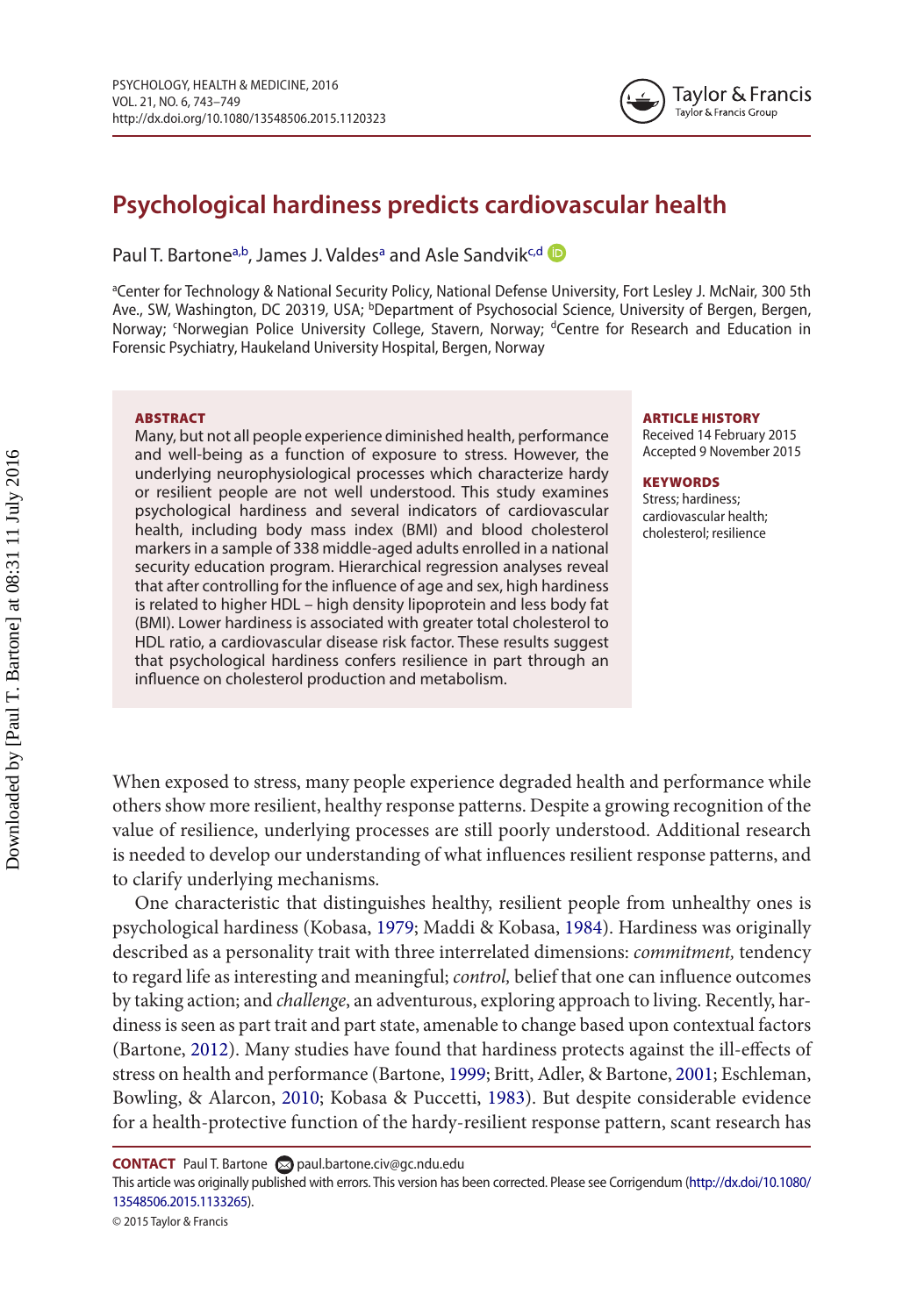

# **Psychological hardiness predicts cardiovascular health**

Paul T. Bartone<sup>a,b</sup>, James J. Valdes<sup>a</sup> and Asle Sandvik<sup>[c](#page-1-2)[,d](#page-1-3)</sup>

<span id="page-1-3"></span><span id="page-1-2"></span><span id="page-1-1"></span><span id="page-1-0"></span>aCenter for Technology & National Security Policy, National Defense University, Fort Lesley J. McNair, 300 5th Ave., SW, Washington, DC 20319, USA; <sup>b</sup>Department of Psychosocial Science, University of Bergen, Bergen, Norway; <sup>c</sup>Norwegian Police University College, Stavern, Norway; <sup>d</sup>Centre for Research and Education in Forensic Psychiatry, Haukeland University Hospital, Bergen, Norway

#### ABSTRACT

Many, but not all people experience diminished health, performance and well-being as a function of exposure to stress. However, the underlying neurophysiological processes which characterize hardy or resilient people are not well understood. This study examines psychological hardiness and several indicators of cardiovascular health, including body mass index (BMI) and blood cholesterol markers in a sample of 338 middle-aged adults enrolled in a national security education program. Hierarchical regression analyses reveal that after controlling for the influence of age and sex, high hardiness is related to higher HDL – high density lipoprotein and less body fat (BMI). Lower hardiness is associated with greater total cholesterol to HDL ratio, a cardiovascular disease risk factor. These results suggest that psychological hardiness confers resilience in part through an influence on cholesterol production and metabolism.

#### ARTICLE HISTORY

Received 14 February 2015 Accepted 9 November 2015

#### **KEYWORDS**

<span id="page-1-10"></span><span id="page-1-9"></span><span id="page-1-8"></span><span id="page-1-6"></span><span id="page-1-4"></span>Stress; hardiness; cardiovascular health; cholesterol; resilience

When exposed to stress, many people experience degraded health and performance while others show more resilient, healthy response patterns. Despite a growing recognition of the value of resilience, underlying processes are still poorly understood. Additional research is needed to develop our understanding of what influences resilient response patterns, and to clarify underlying mechanisms.

One characteristic that distinguishes healthy, resilient people from unhealthy ones is psychological hardiness (Kobasa, [1979](#page-7-0); Maddi & Kobasa, [1984\)](#page-7-1). Hardiness was originally described as a personality trait with three interrelated dimensions: *commitment,* tendency to regard life as interesting and meaningful; *control,* belief that one can influence outcomes by taking action; and *challenge*, an adventurous, exploring approach to living. Recently, hardiness is seen as part trait and part state, amenable to change based upon contextual factors (Bartone, [2012](#page-6-0)). Many studies have found that hardiness protects against the ill-effects of stress on health and performance (Bartone, [1999;](#page-6-1) Britt, Adler, & Bartone, [2001;](#page-6-2) Eschleman, Bowling, & Alarcon, [2010;](#page-6-3) Kobasa & Puccetti, [1983](#page-7-2)). But despite considerable evidence for a health-protective function of the hardy-resilient response pattern, scant research has

<span id="page-1-7"></span><span id="page-1-5"></span>**CONTACT** Paul T. Bartone **[paul.bartone.civ@gc.ndu.edu](mailto:paul.bartone.civ@gc.ndu.edu)** 

This article was originally published with errors. This version has been corrected. Please see Corrigendum [\(http://dx.doi/10.1080/](http://dx.doi/10.1080/13548506.2015.1133265) [13548506.2015.1133265](http://dx.doi/10.1080/13548506.2015.1133265)).

<sup>© 2015</sup> Taylor & Francis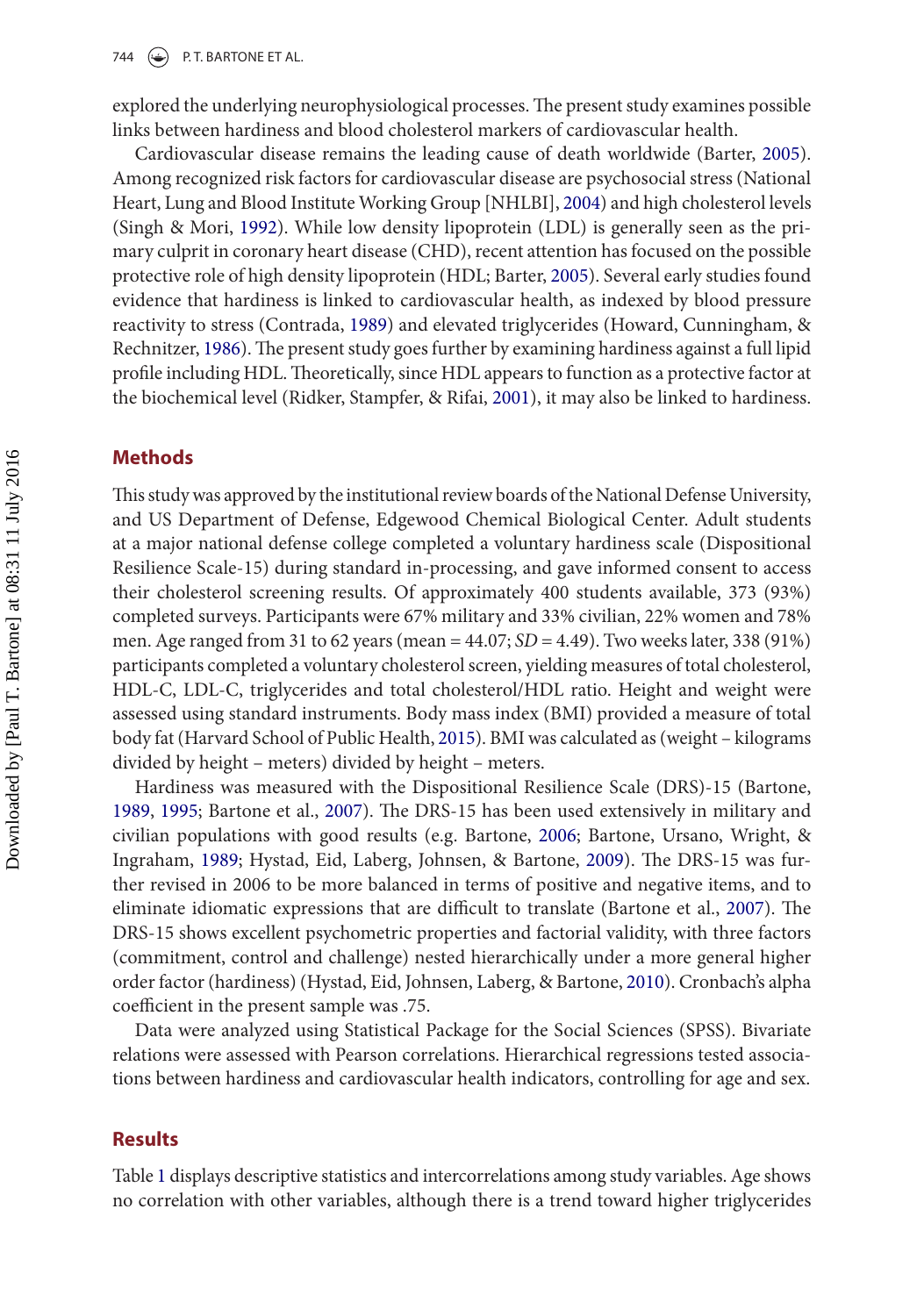explored the underlying neurophysiological processes. The present study examines possible links between hardiness and blood cholesterol markers of cardiovascular health.

<span id="page-2-13"></span><span id="page-2-11"></span><span id="page-2-0"></span>Cardiovascular disease remains the leading cause of death worldwide (Barter, [2005](#page-6-4)). Among recognized risk factors for cardiovascular disease are psychosocial stress (National Heart, Lung and Blood Institute Working Group [NHLBI], [2004\)](#page-7-3) and high cholesterol levels (Singh & Mori, [1992](#page-7-4)). While low density lipoprotein (LDL) is generally seen as the primary culprit in coronary heart disease (CHD), recent attention has focused on the possible protective role of high density lipoprotein (HDL; Barter, [2005](#page-6-4)). Several early studies found evidence that hardiness is linked to cardiovascular health, as indexed by blood pressure reactivity to stress (Contrada, [1989\)](#page-6-5) and elevated triglycerides (Howard, Cunningham, & Rechnitzer, [1986](#page-7-5)). The present study goes further by examining hardiness against a full lipid profile including HDL. Theoretically, since HDL appears to function as a protective factor at the biochemical level (Ridker, Stampfer, & Rifai, [2001](#page-7-6)), it may also be linked to hardiness.

#### <span id="page-2-12"></span><span id="page-2-8"></span><span id="page-2-6"></span>**Methods**

This study was approved by the institutional review boards of the National Defense University, and US Department of Defense, Edgewood Chemical Biological Center. Adult students at a major national defense college completed a voluntary hardiness scale (Dispositional Resilience Scale-15) during standard in-processing, and gave informed consent to access their cholesterol screening results. Of approximately 400 students available, 373 (93%) completed surveys. Participants were 67% military and 33% civilian, 22% women and 78% men. Age ranged from 31 to 62 years (mean = 44.07; *SD* = 4.49). Two weeks later, 338 (91%) participants completed a voluntary cholesterol screen, yielding measures of total cholesterol, HDL-C, LDL-C, triglycerides and total cholesterol/HDL ratio. Height and weight were assessed using standard instruments. Body mass index (BMI) provided a measure of total body fat (Harvard School of Public Health, [2015\)](#page-6-6). BMI was calculated as (weight – kilograms divided by height – meters) divided by height – meters.

<span id="page-2-10"></span><span id="page-2-7"></span><span id="page-2-5"></span><span id="page-2-4"></span><span id="page-2-3"></span><span id="page-2-2"></span><span id="page-2-1"></span>Hardiness was measured with the Dispositional Resilience Scale (DRS)-15 (Bartone, [1989](#page-6-7), [1995;](#page-6-8) Bartone et al., [2007\)](#page-6-9). The DRS-15 has been used extensively in military and civilian populations with good results (e.g. Bartone, [2006;](#page-6-10) Bartone, Ursano, Wright, & Ingraham, [1989](#page-6-11); Hystad, Eid, Laberg, Johnsen, & Bartone, [2009](#page-7-7)). The DRS-15 was further revised in 2006 to be more balanced in terms of positive and negative items, and to eliminate idiomatic expressions that are difficult to translate (Bartone et al., [2007](#page-6-9)). The DRS-15 shows excellent psychometric properties and factorial validity, with three factors (commitment, control and challenge) nested hierarchically under a more general higher order factor (hardiness) (Hystad, Eid, Johnsen, Laberg, & Bartone, [2010\)](#page-7-8). Cronbach's alpha coefficient in the present sample was .75.

<span id="page-2-9"></span>Data were analyzed using Statistical Package for the Social Sciences (SPSS). Bivariate relations were assessed with Pearson correlations. Hierarchical regressions tested associations between hardiness and cardiovascular health indicators, controlling for age and sex.

### **Results**

Table 1 displays descriptive statistics and intercorrelations among study variables. Age shows no correlation with other variables, although there is a trend toward higher triglycerides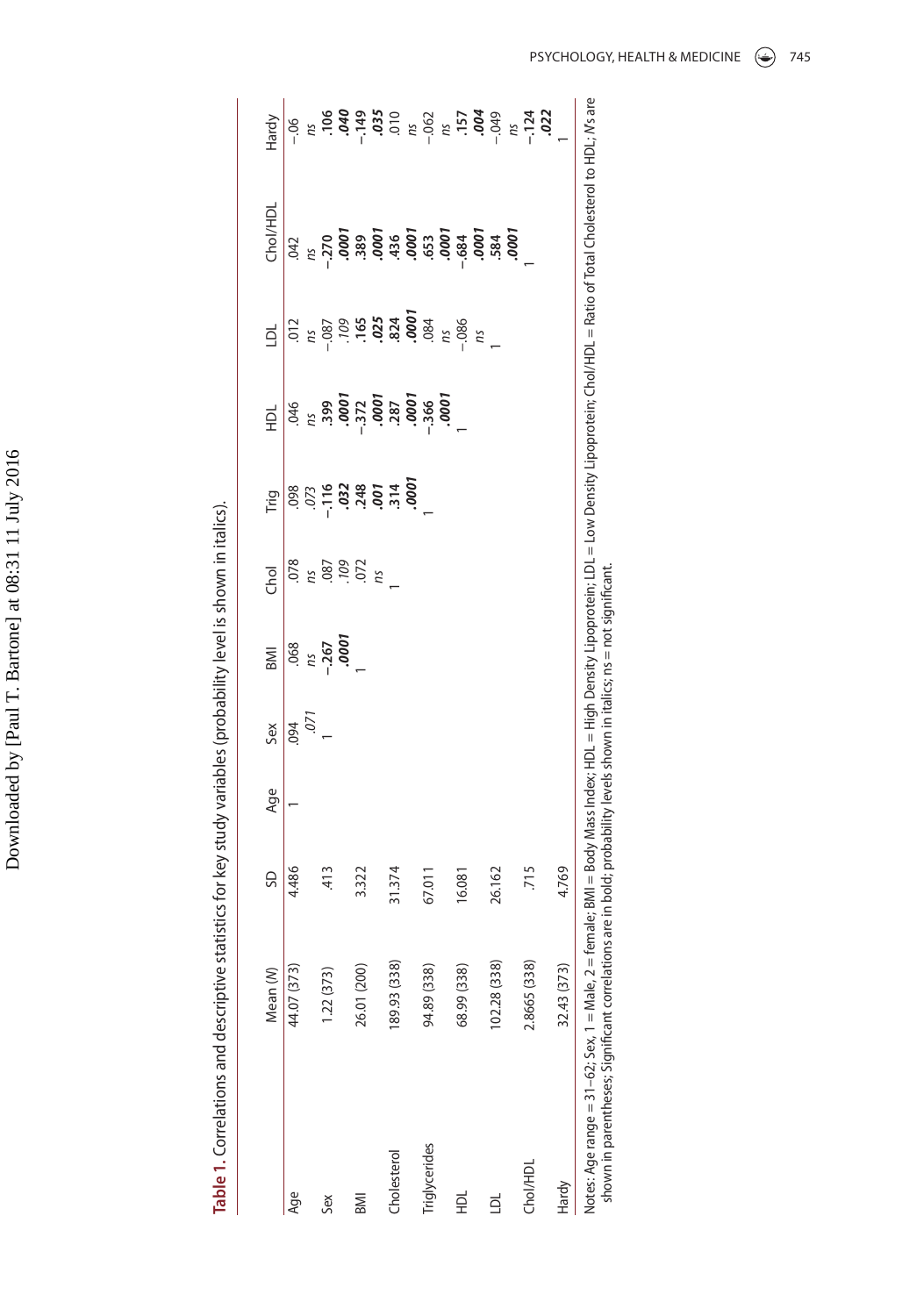| ֕<br>ነ<br>į<br>֠      |
|-----------------------|
| ֚֚֡֡֡֡֡֡֡֡<br>l       |
| I<br>۱<br>ı<br>l<br>l |
| ļ                     |
| l<br>i<br>i           |
| ׇ֚֘                   |
| I                     |
|                       |

| l      |
|--------|
|        |
|        |
|        |
|        |
|        |
|        |
|        |
|        |
|        |
|        |
|        |
|        |
|        |
|        |
|        |
|        |
|        |
|        |
|        |
|        |
|        |
|        |
|        |
|        |
|        |
|        |
|        |
|        |
|        |
|        |
|        |
|        |
|        |
|        |
|        |
| ١      |
|        |
| j      |
| a<br>R |
| j      |
| l      |
|        |

|                                                                                                                                                                                                | Mean (M)     | SD     | Age | Sex  | <b>IIMB</b>      | Chol              | Trig                                                   | 료                 | اء                                                                                                    | Chol/HDL | Hardy                                                                                                                                                                       |
|------------------------------------------------------------------------------------------------------------------------------------------------------------------------------------------------|--------------|--------|-----|------|------------------|-------------------|--------------------------------------------------------|-------------------|-------------------------------------------------------------------------------------------------------|----------|-----------------------------------------------------------------------------------------------------------------------------------------------------------------------------|
| Age                                                                                                                                                                                            | 44.07 (373)  | 4.486  |     | 094  | .068             | .078              |                                                        | 046               | .012                                                                                                  | .042     | $-0.0$                                                                                                                                                                      |
|                                                                                                                                                                                                |              |        |     | .071 | ns               |                   |                                                        |                   |                                                                                                       |          |                                                                                                                                                                             |
| Sex                                                                                                                                                                                            | 1.22 (373)   | $-413$ |     |      | $-267$<br>$0001$ | 187<br>187<br>199 | <b>000</b><br>2010 - 2010 - 2010<br>2010 - 2010 - 2010 |                   | $\frac{180}{100}$<br>$\frac{160}{100}$<br>$\frac{160}{100}$<br>$\frac{160}{100}$<br>$\frac{160}{100}$ |          | $\frac{6}{100}$ = 0.05<br>$\frac{1}{100}$ = 0.05<br>$\frac{1}{100}$ = 0.05<br>$\frac{1}{100}$ = 0.05<br>$\frac{1}{100}$ = 0.04<br>$\frac{1}{200}$ = 0.04<br>$\frac{1}{200}$ |
|                                                                                                                                                                                                |              |        |     |      |                  |                   |                                                        |                   |                                                                                                       |          |                                                                                                                                                                             |
| <b>IMB</b>                                                                                                                                                                                     | 26.01 (200)  | 3.322  |     |      |                  |                   |                                                        |                   |                                                                                                       |          |                                                                                                                                                                             |
|                                                                                                                                                                                                |              |        |     |      |                  | ns                |                                                        |                   |                                                                                                       |          |                                                                                                                                                                             |
| <b>holesterol</b>                                                                                                                                                                              | 189.93 (338) | 31.374 |     |      |                  |                   |                                                        |                   |                                                                                                       |          |                                                                                                                                                                             |
|                                                                                                                                                                                                |              |        |     |      |                  |                   |                                                        |                   |                                                                                                       |          |                                                                                                                                                                             |
| riglycerides                                                                                                                                                                                   | 94.89 (338)  | 67.011 |     |      |                  |                   |                                                        | $-366$<br>$.0001$ |                                                                                                       |          |                                                                                                                                                                             |
|                                                                                                                                                                                                |              |        |     |      |                  |                   |                                                        |                   |                                                                                                       |          |                                                                                                                                                                             |
| 로                                                                                                                                                                                              | 68.99 (338)  | 16.081 |     |      |                  |                   |                                                        |                   | $\frac{n}{1086}$                                                                                      |          |                                                                                                                                                                             |
|                                                                                                                                                                                                |              |        |     |      |                  |                   |                                                        |                   | ns                                                                                                    |          |                                                                                                                                                                             |
| 힘                                                                                                                                                                                              | 102.28 (338) | 26.162 |     |      |                  |                   |                                                        |                   |                                                                                                       |          |                                                                                                                                                                             |
|                                                                                                                                                                                                |              |        |     |      |                  |                   |                                                        |                   |                                                                                                       |          |                                                                                                                                                                             |
| <b>Chol/HDL</b>                                                                                                                                                                                | 2.8665 (338) | 715    |     |      |                  |                   |                                                        |                   |                                                                                                       |          | $-124$<br>$-124$<br>$022$                                                                                                                                                   |
|                                                                                                                                                                                                |              |        |     |      |                  |                   |                                                        |                   |                                                                                                       |          |                                                                                                                                                                             |
| Hardy                                                                                                                                                                                          | 32.43 (373)  | 4.769  |     |      |                  |                   |                                                        |                   |                                                                                                       |          |                                                                                                                                                                             |
| Notes: Age range = 31-62; Sex, 1 = Male, 2 = female; BMI = Body Mass Index; HDL = High Density Lipoprotein; LDL = Low Density Lipoprotein; Cho/HDL = Ratio of Total Cholesterol to HDL; Ws are |              |        |     |      |                  |                   |                                                        |                   |                                                                                                       |          |                                                                                                                                                                             |

shown in parentheses; Significant correlations are in bold; probability levels shown in italics; ns = not significant. shown in parentheses; Significant correlations are in bold; probability levels shown in italics; ns = not significant.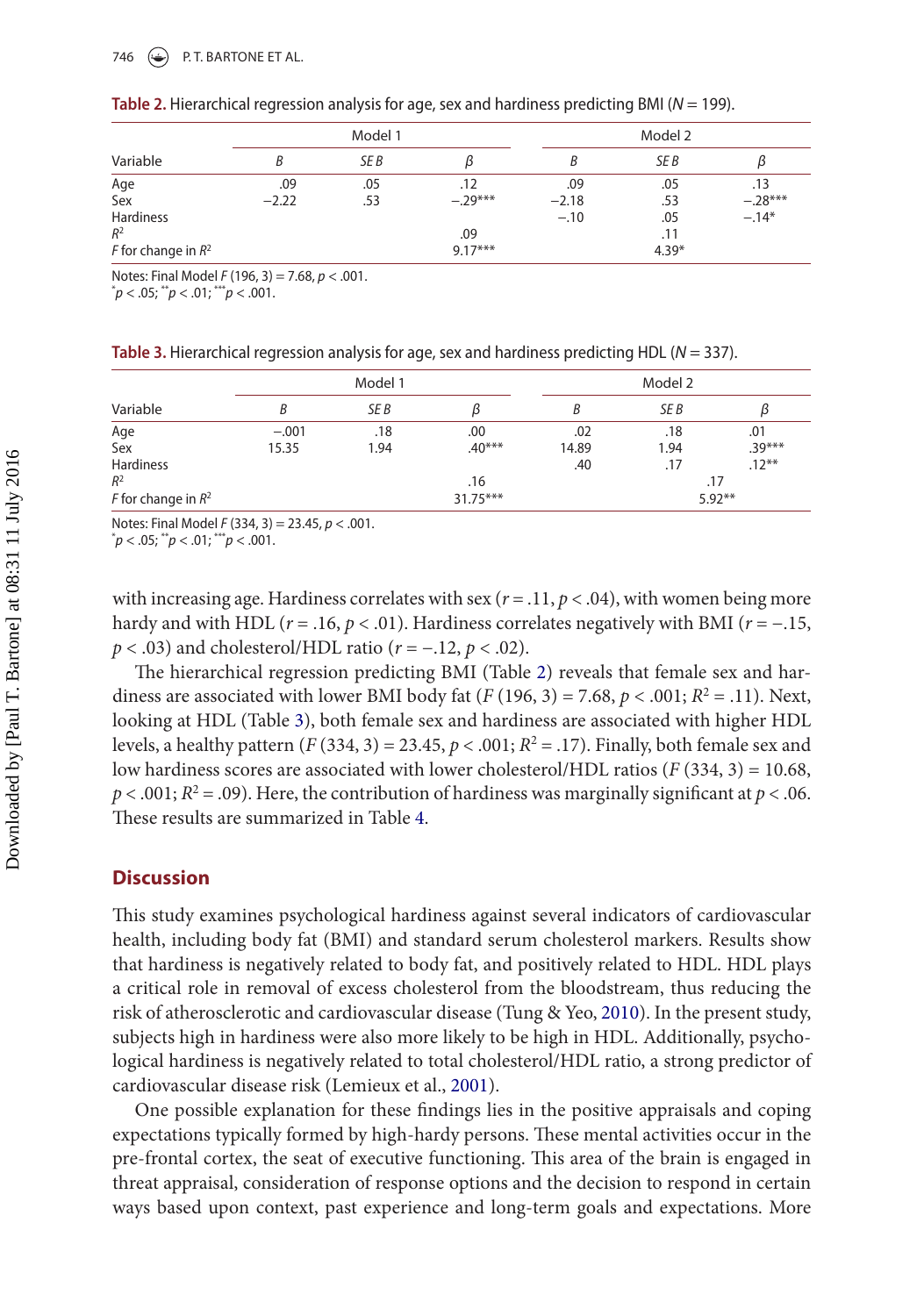#### 746  $\bigodot$  P.T. BARTONE ET AL.

|                       |         | Model 1 |           |         | Model 2 |           |
|-----------------------|---------|---------|-----------|---------|---------|-----------|
| Variable              | В       | SE B    |           | В       | SE B    | IJ        |
| Age                   | .09     | .05     | .12       | .09     | .05     | .13       |
| Sex                   | $-2.22$ | .53     | $-.29***$ | $-2.18$ | .53     | $-.28***$ |
| <b>Hardiness</b>      |         |         |           | $-.10$  | .05     | $-.14*$   |
| $R^2$                 |         |         | .09       |         | .11     |           |
| F for change in $R^2$ |         |         | $9.17***$ |         | $4.39*$ |           |

| Table 2. Hierarchical regression analysis for age, sex and hardiness predicting BMI ( $N = 199$ ). |  |  |  |
|----------------------------------------------------------------------------------------------------|--|--|--|
|                                                                                                    |  |  |  |

Notes: Final Model *F* (196, 3) = 7.68, *p* < .001.

\* *p* < .05; \*\**p* < .01; \*\*\**p* < .001.

| Table 3. Hierarchical regression analysis for age, sex and hardiness predicting HDL ( $N = 337$ ). |  |  |  |  |  |
|----------------------------------------------------------------------------------------------------|--|--|--|--|--|
|----------------------------------------------------------------------------------------------------|--|--|--|--|--|

|                       |         | Model 1 |            | Model 2 |      |          |
|-----------------------|---------|---------|------------|---------|------|----------|
| Variable              | B       | SE B    |            | B       | SE B |          |
| Age                   | $-.001$ | .18     | .00        | .02     | .18  | .01      |
| Sex                   | 15.35   | 1.94    | $.40***$   | 14.89   | 1.94 | $.39***$ |
| <b>Hardiness</b>      |         |         |            | .40     | .17  | $.12***$ |
| $R^2$                 |         |         | .16        |         |      | .17      |
| F for change in $R^2$ |         |         | $31.75***$ |         |      | $5.92**$ |

Notes: Final Model *F* (334, 3) = 23.45, *p* < .001.

\* *p* < .05; \*\**p* < .01; \*\*\**p* < .001.

with increasing age. Hardiness correlates with sex  $(r = .11, p < .04)$ , with women being more hardy and with HDL (*r* = .16, *p* < .01). Hardiness correlates negatively with BMI (*r* = −.15, *p* < .03) and cholesterol/HDL ratio ( $r$  = −.12,  $p$  < .02).

The hierarchical regression predicting BMI (Table 2) reveals that female sex and hardiness are associated with lower BMI body fat  $(F(196, 3) = 7.68, p < .001; R^2 = .11)$ . Next, looking at HDL (Table 3), both female sex and hardiness are associated with higher HDL levels, a healthy pattern  $(F(334, 3) = 23.45, p < .001; R^2 = .17)$ . Finally, both female sex and low hardiness scores are associated with lower cholesterol/HDL ratios (*F* (334, 3) = 10.68,  $p < .001; R<sup>2</sup> = .09$ ). Here, the contribution of hardiness was marginally significant at  $p < .06$ . These results are summarized in Table 4.

# **Discussion**

<span id="page-4-1"></span>This study examines psychological hardiness against several indicators of cardiovascular health, including body fat (BMI) and standard serum cholesterol markers. Results show that hardiness is negatively related to body fat, and positively related to HDL. HDL plays a critical role in removal of excess cholesterol from the bloodstream, thus reducing the risk of atherosclerotic and cardiovascular disease (Tung & Yeo, [2010](#page-7-9)). In the present study, subjects high in hardiness were also more likely to be high in HDL. Additionally, psychological hardiness is negatively related to total cholesterol/HDL ratio, a strong predictor of cardiovascular disease risk (Lemieux et al., [2001\)](#page-7-10).

<span id="page-4-0"></span>One possible explanation for these findings lies in the positive appraisals and coping expectations typically formed by high-hardy persons. These mental activities occur in the pre-frontal cortex, the seat of executive functioning. This area of the brain is engaged in threat appraisal, consideration of response options and the decision to respond in certain ways based upon context, past experience and long-term goals and expectations. More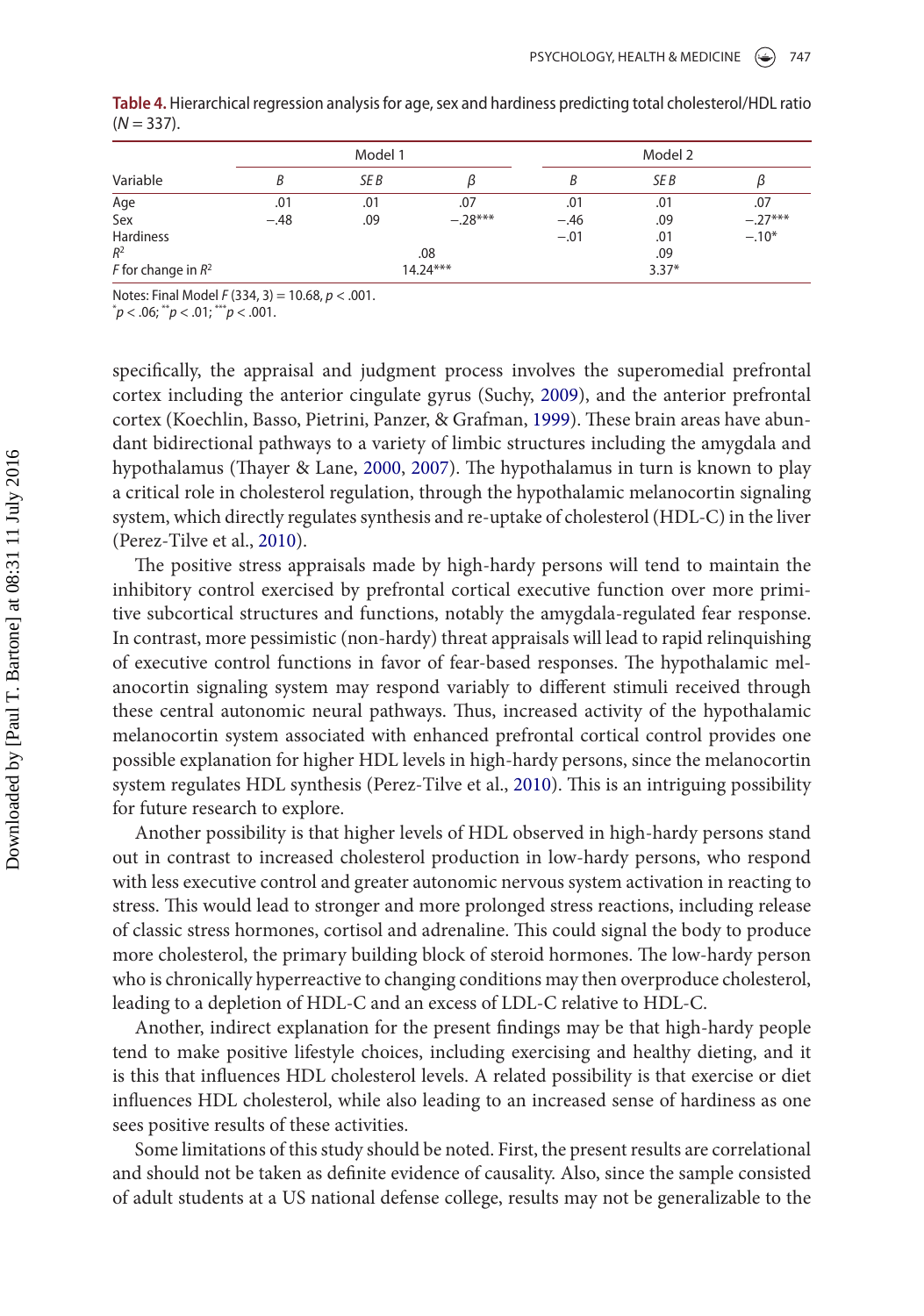|                       |        | Model 1 |            |        |         |           |
|-----------------------|--------|---------|------------|--------|---------|-----------|
| Variable              | В      | SE B    | ß          |        | SE B    | ß         |
| Age                   | .01    | .01     | .07        | .01    | .01     | .07       |
| Sex                   | $-.48$ | .09     | $-.28***$  | $-.46$ | .09     | $-.27***$ |
| <b>Hardiness</b>      |        |         |            | $-.01$ | .01     | $-.10*$   |
| $R^2$                 |        |         | .08        |        | .09     |           |
| F for change in $R^2$ |        |         | $14.24***$ |        | $3.37*$ |           |

**Table 4.** Hierarchical regression analysis for age, sex and hardiness predicting total cholesterol/HDL ratio  $(N = 337)$ .

Notes: Final Model *F* (334, 3) = 10.68, *p* < .001.

\* *p* < .06; \*\**p* < .01; \*\*\**p* < .001.

<span id="page-5-4"></span><span id="page-5-3"></span><span id="page-5-2"></span><span id="page-5-0"></span>specifically, the appraisal and judgment process involves the superomedial prefrontal cortex including the anterior cingulate gyrus (Suchy, [2009\)](#page-7-11), and the anterior prefrontal cortex (Koechlin, Basso, Pietrini, Panzer, & Grafman, [1999](#page-7-12)). These brain areas have abundant bidirectional pathways to a variety of limbic structures including the amygdala and hypothalamus (Thayer & Lane, [2000](#page-7-13), [2007\)](#page-7-14). The hypothalamus in turn is known to play a critical role in cholesterol regulation, through the hypothalamic melanocortin signaling system, which directly regulates synthesis and re-uptake of cholesterol (HDL-C) in the liver (Perez-Tilve et al., [2010](#page-7-15)).

<span id="page-5-1"></span>The positive stress appraisals made by high-hardy persons will tend to maintain the inhibitory control exercised by prefrontal cortical executive function over more primitive subcortical structures and functions, notably the amygdala-regulated fear response. In contrast, more pessimistic (non-hardy) threat appraisals will lead to rapid relinquishing of executive control functions in favor of fear-based responses. The hypothalamic melanocortin signaling system may respond variably to different stimuli received through these central autonomic neural pathways. Thus, increased activity of the hypothalamic melanocortin system associated with enhanced prefrontal cortical control provides one possible explanation for higher HDL levels in high-hardy persons, since the melanocortin system regulates HDL synthesis (Perez-Tilve et al., [2010](#page-7-15)). This is an intriguing possibility for future research to explore.

Another possibility is that higher levels of HDL observed in high-hardy persons stand out in contrast to increased cholesterol production in low-hardy persons, who respond with less executive control and greater autonomic nervous system activation in reacting to stress. This would lead to stronger and more prolonged stress reactions, including release of classic stress hormones, cortisol and adrenaline. This could signal the body to produce more cholesterol, the primary building block of steroid hormones. The low-hardy person who is chronically hyperreactive to changing conditions may then overproduce cholesterol, leading to a depletion of HDL-C and an excess of LDL-C relative to HDL-C.

Another, indirect explanation for the present findings may be that high-hardy people tend to make positive lifestyle choices, including exercising and healthy dieting, and it is this that influences HDL cholesterol levels. A related possibility is that exercise or diet influences HDL cholesterol, while also leading to an increased sense of hardiness as one sees positive results of these activities.

Some limitations of this study should be noted. First, the present results are correlational and should not be taken as definite evidence of causality. Also, since the sample consisted of adult students at a US national defense college, results may not be generalizable to the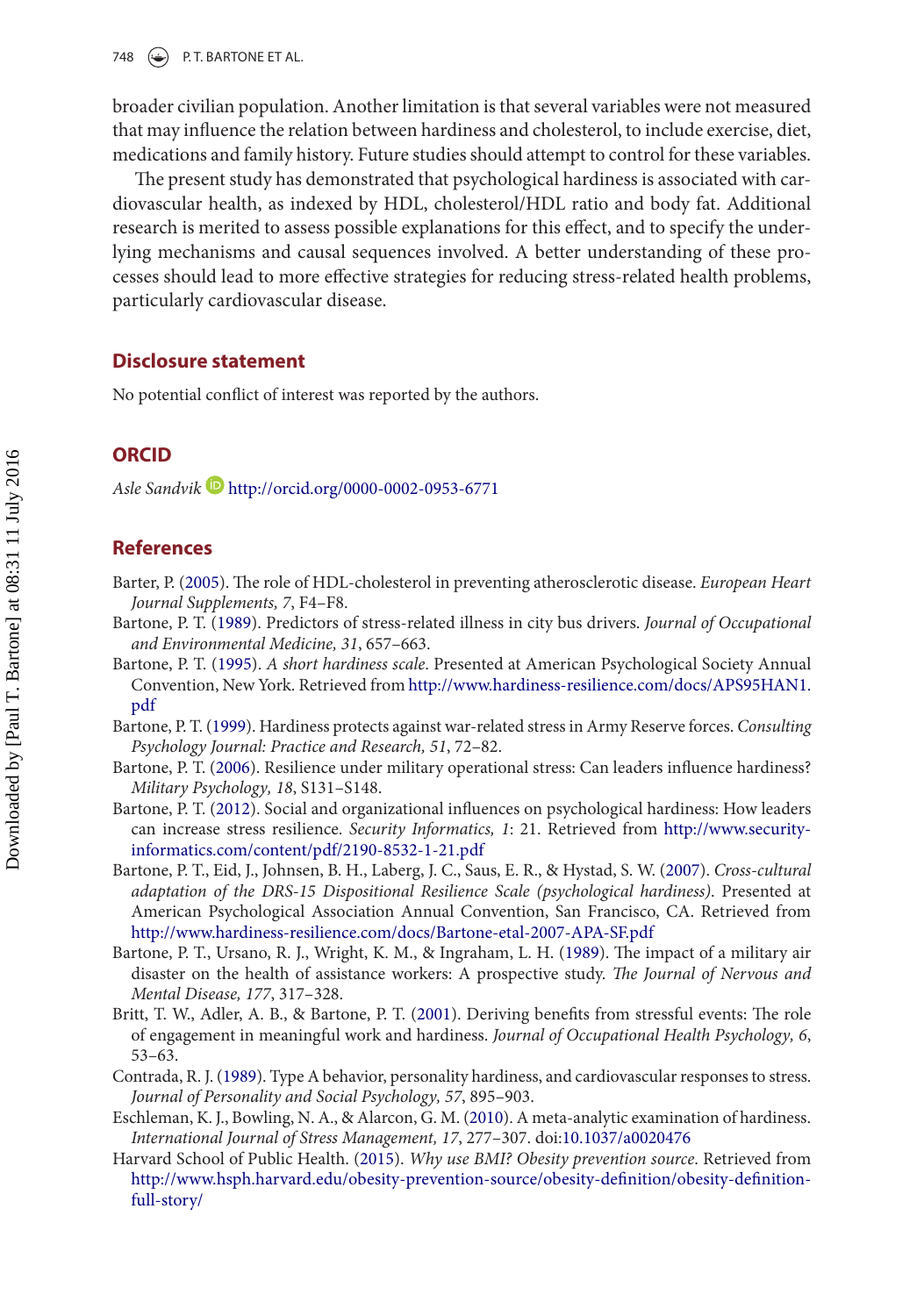748  $\leftrightarrow$  P.T. BARTONE ET AL.

broader civilian population. Another limitation is that several variables were not measured that may influence the relation between hardiness and cholesterol, to include exercise, diet, medications and family history. Future studies should attempt to control for these variables.

The present study has demonstrated that psychological hardiness is associated with cardiovascular health, as indexed by HDL, cholesterol/HDL ratio and body fat. Additional research is merited to assess possible explanations for this effect, and to specify the underlying mechanisms and causal sequences involved. A better understanding of these processes should lead to more effective strategies for reducing stress-related health problems, particularly cardiovascular disease.

### **Disclosure statement**

No potential conflict of interest was reported by the authors.

# **ORCID**

*Asle Sandvik* <http://orcid.org/0000-0002-0953-6771>

# **References**

- <span id="page-6-4"></span>Barter, P. ([2005](#page-2-0)). The role of HDL-cholesterol in preventing atherosclerotic disease. *European Heart Journal Supplements, 7*, F4–F8.
- <span id="page-6-7"></span>Bartone, P. T. ([1989](#page-2-1)). Predictors of stress-related illness in city bus drivers. *Journal of Occupational and Environmental Medicine, 31*, 657–663.
- <span id="page-6-8"></span>Bartone, P. T. [\(1995](#page-2-2)). *A short hardiness scale*. Presented at American Psychological Society Annual Convention, New York. Retrieved from [http://www.hardiness-resilience.com/docs/APS95HAN1.](http://www.hardiness-resilience.com/docs/APS95HAN1.pdf) [pdf](http://www.hardiness-resilience.com/docs/APS95HAN1.pdf)
- <span id="page-6-1"></span>Bartone, P. T. [\(1999](#page-1-4)). Hardiness protects against war-related stress in Army Reserve forces. *Consulting Psychology Journal: Practice and Research, 51*, 72–82.
- <span id="page-6-10"></span>Bartone, P. T. [\(2006\)](#page-2-3). Resilience under military operational stress: Can leaders influence hardiness? *Military Psychology, 18*, S131–S148.
- <span id="page-6-0"></span>Bartone, P. T. [\(2012\)](#page-1-5). Social and organizational influences on psychological hardiness: How leaders can increase stress resilience. *Security Informatics, 1*: 21. Retrieved from [http://www.security](http://www.security-informatics.com/content/pdf/2190-8532-1-21.pdf)[informatics.com/content/pdf/2190-8532-1-21.pdf](http://www.security-informatics.com/content/pdf/2190-8532-1-21.pdf)
- <span id="page-6-9"></span>Bartone, P. T., Eid, J., Johnsen, B. H., Laberg, J. C., Saus, E. R., & Hystad, S. W. ([2007\)](#page-2-4). *Cross-cultural adaptation of the DRS-15 Dispositional Resilience Scale (psychological hardiness)*. Presented at American Psychological Association Annual Convention, San Francisco, CA. Retrieved from <http://www.hardiness-resilience.com/docs/Bartone-etal-2007-APA-SF.pdf>
- <span id="page-6-11"></span>Bartone, P. T., Ursano, R. J., Wright, K. M., & Ingraham, L. H. ([1989](#page-2-5)). The impact of a military air disaster on the health of assistance workers: A prospective study. *The Journal of Nervous and Mental Disease, 177*, 317–328.
- <span id="page-6-2"></span>Britt, T. W., Adler, A. B., & Bartone, P. T. ([2001\)](#page-1-6). Deriving benefits from stressful events: The role of engagement in meaningful work and hardiness. *Journal of Occupational Health Psychology, 6*, 53–63.
- <span id="page-6-5"></span>Contrada, R. J. ([1989](#page-2-6)). Type A behavior, personality hardiness, and cardiovascular responses to stress. *Journal of Personality and Social Psychology, 57*, 895–903.
- <span id="page-6-3"></span>Eschleman, K. J., Bowling, N. A., & Alarcon, G. M. ([2010\)](#page-1-7). A meta-analytic examination of hardiness. *International Journal of Stress Management, 17*, 277–307. doi[:10.1037/a0020476](http://dx.doi.org/10.1037/a0020476)
- <span id="page-6-6"></span>Harvard School of Public Health. [\(2015\)](#page-2-7). *Why use BMI? Obesity prevention source*. Retrieved from [http://www.hsph.harvard.edu/obesity-prevention-source/obesity-definition/obesity-definition](http://www.hsph.harvard.edu/obesity-prevention-source/obesity-definition/obesity-definition-full-story/)[full-story/](http://www.hsph.harvard.edu/obesity-prevention-source/obesity-definition/obesity-definition-full-story/)